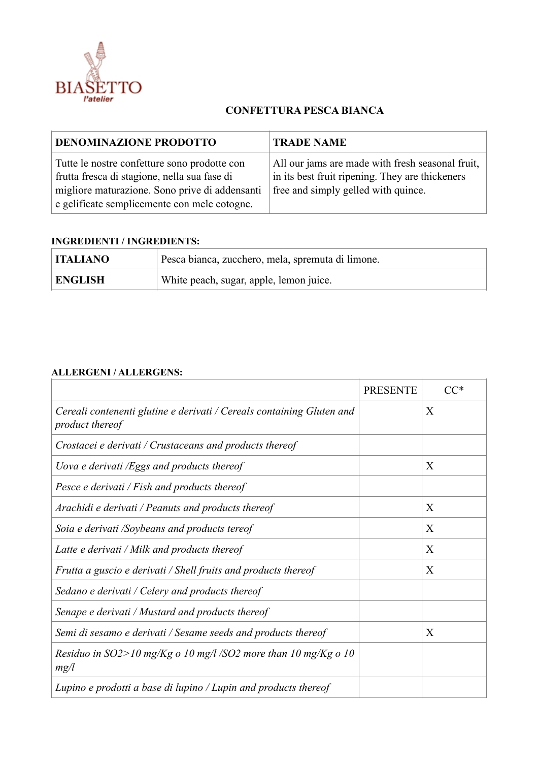

## **CONFETTURA PESCA BIANCA**

| <b>DENOMINAZIONE PRODOTTO</b>                                                                                                                                                                  | <b>TRADE NAME</b>                                                                                                                          |  |
|------------------------------------------------------------------------------------------------------------------------------------------------------------------------------------------------|--------------------------------------------------------------------------------------------------------------------------------------------|--|
| Tutte le nostre confetture sono prodotte con<br>frutta fresca di stagione, nella sua fase di<br>migliore maturazione. Sono prive di addensanti<br>e gelificate semplicemente con mele cotogne. | All our jams are made with fresh seasonal fruit,<br>in its best fruit ripening. They are thickeners<br>free and simply gelled with quince. |  |

## **INGREDIENTI / INGREDIENTS:**

| <b>ITALIANO</b> | Pesca bianca, zucchero, mela, spremuta di limone. |
|-----------------|---------------------------------------------------|
| <b>ENGLISH</b>  | White peach, sugar, apple, lemon juice.           |

## **ALLERGENI / ALLERGENS:**

|                                                                                                 | <b>PRESENTE</b> |   |
|-------------------------------------------------------------------------------------------------|-----------------|---|
| Cereali contenenti glutine e derivati / Cereals containing Gluten and<br><i>product thereof</i> |                 | X |
| Crostacei e derivati / Crustaceans and products thereof                                         |                 |   |
| Uova e derivati /Eggs and products thereof                                                      |                 | X |
| Pesce e derivati / Fish and products thereof                                                    |                 |   |
| Arachidi e derivati / Peanuts and products thereof                                              |                 | X |
| Soia e derivati /Soybeans and products tereof                                                   |                 | X |
| Latte e derivati / Milk and products thereof                                                    |                 | X |
| Frutta a guscio e derivati / Shell fruits and products thereof                                  |                 | X |
| Sedano e derivati / Celery and products thereof                                                 |                 |   |
| Senape e derivati / Mustard and products thereof                                                |                 |   |
| Semi di sesamo e derivati / Sesame seeds and products thereof                                   |                 | X |
| Residuo in SO2>10 mg/Kg o 10 mg/l /SO2 more than 10 mg/Kg o 10<br>mg/l                          |                 |   |
| Lupino e prodotti a base di lupino / Lupin and products thereof                                 |                 |   |